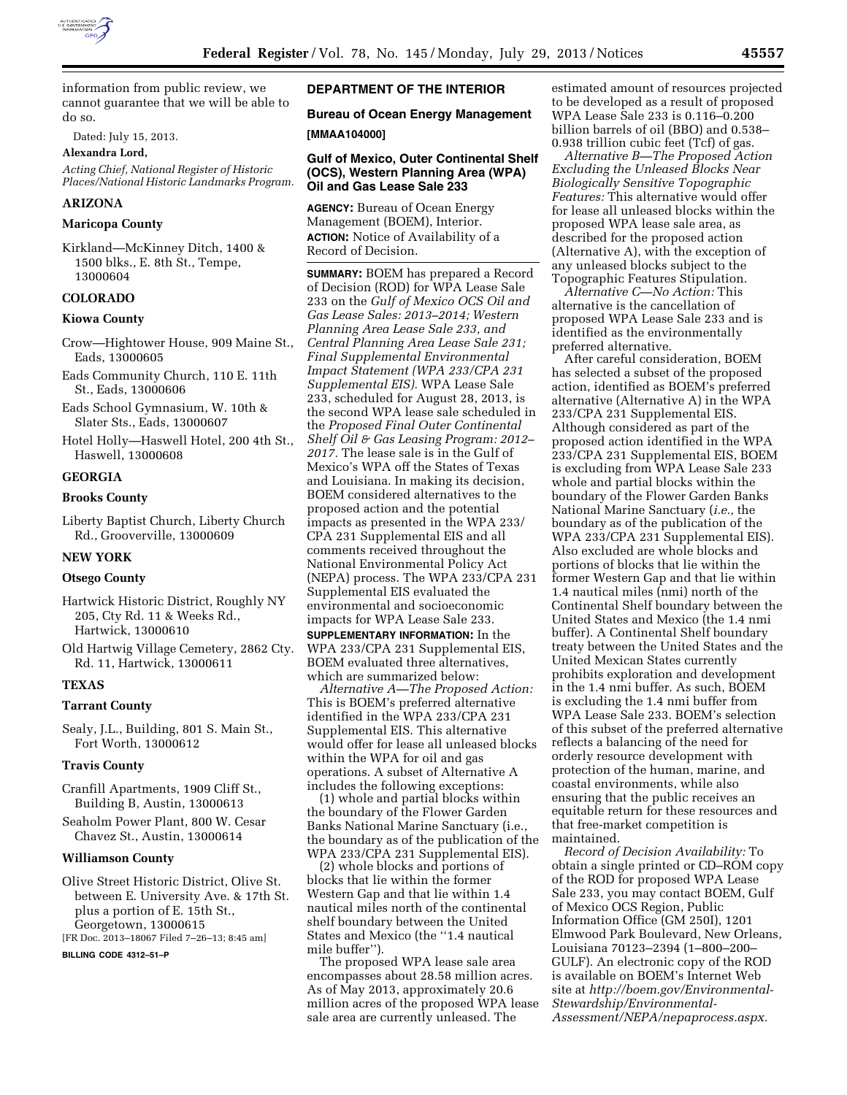

information from public review, we cannot guarantee that we will be able to do so.

Dated: July 15, 2013.

**Alexandra Lord,** 

*Acting Chief, National Register of Historic Places/National Historic Landmarks Program.* 

## **ARIZONA**

#### **Maricopa County**

Kirkland—McKinney Ditch, 1400 & 1500 blks., E. 8th St., Tempe, 13000604

#### **COLORADO**

#### **Kiowa County**

- Crow—Hightower House, 909 Maine St., Eads, 13000605
- Eads Community Church, 110 E. 11th St., Eads, 13000606
- Eads School Gymnasium, W. 10th & Slater Sts., Eads, 13000607
- Hotel Holly—Haswell Hotel, 200 4th St., Haswell, 13000608

#### **GEORGIA**

#### **Brooks County**

Liberty Baptist Church, Liberty Church Rd., Grooverville, 13000609

### **NEW YORK**

### **Otsego County**

Hartwick Historic District, Roughly NY 205, Cty Rd. 11 & Weeks Rd., Hartwick, 13000610

Old Hartwig Village Cemetery, 2862 Cty. Rd. 11, Hartwick, 13000611

### **TEXAS**

#### **Tarrant County**

Sealy, J.L., Building, 801 S. Main St., Fort Worth, 13000612

#### **Travis County**

- Cranfill Apartments, 1909 Cliff St., Building B, Austin, 13000613
- Seaholm Power Plant, 800 W. Cesar Chavez St., Austin, 13000614

#### **Williamson County**

Olive Street Historic District, Olive St. between E. University Ave. & 17th St. plus a portion of E. 15th St., Georgetown, 13000615 [FR Doc. 2013–18067 Filed 7–26–13; 8:45 am]

**BILLING CODE 4312–51–P** 

## **DEPARTMENT OF THE INTERIOR**

# **Bureau of Ocean Energy Management**

# **[MMAA104000]**

### **Gulf of Mexico, Outer Continental Shelf (OCS), Western Planning Area (WPA) Oil and Gas Lease Sale 233**

**AGENCY:** Bureau of Ocean Energy Management (BOEM), Interior. **ACTION:** Notice of Availability of a Record of Decision.

**SUMMARY:** BOEM has prepared a Record of Decision (ROD) for WPA Lease Sale 233 on the *Gulf of Mexico OCS Oil and Gas Lease Sales: 2013–2014; Western Planning Area Lease Sale 233, and Central Planning Area Lease Sale 231; Final Supplemental Environmental Impact Statement (WPA 233/CPA 231 Supplemental EIS).* WPA Lease Sale 233, scheduled for August 28, 2013, is the second WPA lease sale scheduled in the *Proposed Final Outer Continental Shelf Oil & Gas Leasing Program: 2012– 2017.* The lease sale is in the Gulf of Mexico's WPA off the States of Texas and Louisiana. In making its decision, BOEM considered alternatives to the proposed action and the potential impacts as presented in the WPA 233/ CPA 231 Supplemental EIS and all comments received throughout the National Environmental Policy Act (NEPA) process. The WPA 233/CPA 231 Supplemental EIS evaluated the environmental and socioeconomic impacts for WPA Lease Sale 233.

**SUPPLEMENTARY INFORMATION:** In the WPA 233/CPA 231 Supplemental EIS, BOEM evaluated three alternatives, which are summarized below:

*Alternative A—The Proposed Action:*  This is BOEM's preferred alternative identified in the WPA 233/CPA 231 Supplemental EIS. This alternative would offer for lease all unleased blocks within the WPA for oil and gas operations. A subset of Alternative A includes the following exceptions:

(1) whole and partial blocks within the boundary of the Flower Garden Banks National Marine Sanctuary (i.e., the boundary as of the publication of the WPA 233/CPA 231 Supplemental EIS).

(2) whole blocks and portions of blocks that lie within the former Western Gap and that lie within 1.4 nautical miles north of the continental shelf boundary between the United States and Mexico (the ''1.4 nautical mile buffer'').

The proposed WPA lease sale area encompasses about 28.58 million acres. As of May 2013, approximately 20.6 million acres of the proposed WPA lease sale area are currently unleased. The

estimated amount of resources projected to be developed as a result of proposed WPA Lease Sale 233 is 0.116–0.200 billion barrels of oil (BBO) and 0.538– 0.938 trillion cubic feet (Tcf) of gas.

*Alternative B—The Proposed Action Excluding the Unleased Blocks Near Biologically Sensitive Topographic Features:* This alternative would offer for lease all unleased blocks within the proposed WPA lease sale area, as described for the proposed action (Alternative A), with the exception of any unleased blocks subject to the Topographic Features Stipulation.

*Alternative C—No Action:* This alternative is the cancellation of proposed WPA Lease Sale 233 and is identified as the environmentally preferred alternative.

After careful consideration, BOEM has selected a subset of the proposed action, identified as BOEM's preferred alternative (Alternative A) in the WPA 233/CPA 231 Supplemental EIS. Although considered as part of the proposed action identified in the WPA 233/CPA 231 Supplemental EIS, BOEM is excluding from WPA Lease Sale 233 whole and partial blocks within the boundary of the Flower Garden Banks National Marine Sanctuary (*i.e.,* the boundary as of the publication of the WPA 233/CPA 231 Supplemental EIS). Also excluded are whole blocks and portions of blocks that lie within the former Western Gap and that lie within 1.4 nautical miles (nmi) north of the Continental Shelf boundary between the United States and Mexico (the 1.4 nmi buffer). A Continental Shelf boundary treaty between the United States and the United Mexican States currently prohibits exploration and development in the 1.4 nmi buffer. As such, BOEM is excluding the 1.4 nmi buffer from WPA Lease Sale 233. BOEM's selection of this subset of the preferred alternative reflects a balancing of the need for orderly resource development with protection of the human, marine, and coastal environments, while also ensuring that the public receives an equitable return for these resources and that free-market competition is maintained.

*Record of Decision Availability:* To obtain a single printed or CD–ROM copy of the ROD for proposed WPA Lease Sale 233, you may contact BOEM, Gulf of Mexico OCS Region, Public Information Office (GM 250I), 1201 Elmwood Park Boulevard, New Orleans, Louisiana 70123–2394 (1–800–200– GULF). An electronic copy of the ROD is available on BOEM's Internet Web site at *[http://boem.gov/Environmental-](http://boem.gov/Environmental-Stewardship/Environmental-Assessment/NEPA/nepaprocess.aspx)[Stewardship/Environmental-](http://boem.gov/Environmental-Stewardship/Environmental-Assessment/NEPA/nepaprocess.aspx)[Assessment/NEPA/nepaprocess.aspx.](http://boem.gov/Environmental-Stewardship/Environmental-Assessment/NEPA/nepaprocess.aspx)*